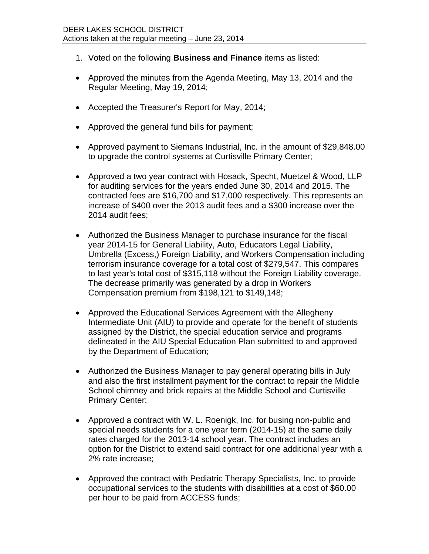- 1. Voted on the following **Business and Finance** items as listed:
- Approved the minutes from the Agenda Meeting, May 13, 2014 and the Regular Meeting, May 19, 2014;
- Accepted the Treasurer's Report for May, 2014;
- Approved the general fund bills for payment;
- Approved payment to Siemans Industrial, Inc. in the amount of \$29,848.00 to upgrade the control systems at Curtisville Primary Center;
- Approved a two year contract with Hosack, Specht, Muetzel & Wood, LLP for auditing services for the years ended June 30, 2014 and 2015. The contracted fees are \$16,700 and \$17,000 respectively. This represents an increase of \$400 over the 2013 audit fees and a \$300 increase over the 2014 audit fees;
- Authorized the Business Manager to purchase insurance for the fiscal year 2014-15 for General Liability, Auto, Educators Legal Liability, Umbrella (Excess,) Foreign Liability, and Workers Compensation including terrorism insurance coverage for a total cost of \$279,547. This compares to last year's total cost of \$315,118 without the Foreign Liability coverage. The decrease primarily was generated by a drop in Workers Compensation premium from \$198,121 to \$149,148;
- Approved the Educational Services Agreement with the Allegheny Intermediate Unit (AIU) to provide and operate for the benefit of students assigned by the District, the special education service and programs delineated in the AIU Special Education Plan submitted to and approved by the Department of Education;
- Authorized the Business Manager to pay general operating bills in July and also the first installment payment for the contract to repair the Middle School chimney and brick repairs at the Middle School and Curtisville Primary Center;
- Approved a contract with W. L. Roenigk, Inc. for busing non-public and special needs students for a one year term (2014-15) at the same daily rates charged for the 2013-14 school year. The contract includes an option for the District to extend said contract for one additional year with a 2% rate increase;
- Approved the contract with Pediatric Therapy Specialists, Inc. to provide occupational services to the students with disabilities at a cost of \$60.00 per hour to be paid from ACCESS funds;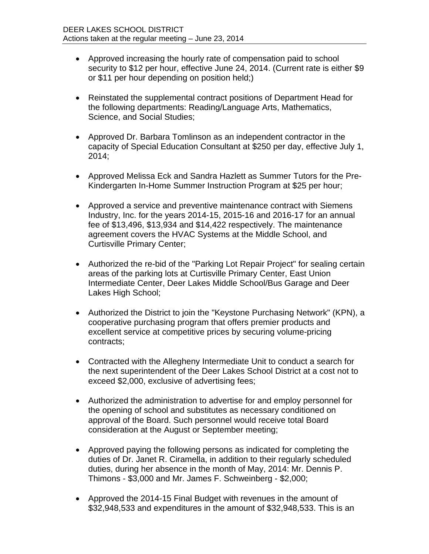- Approved increasing the hourly rate of compensation paid to school security to \$12 per hour, effective June 24, 2014. (Current rate is either \$9 or \$11 per hour depending on position held;)
- Reinstated the supplemental contract positions of Department Head for the following departments: Reading/Language Arts, Mathematics, Science, and Social Studies;
- Approved Dr. Barbara Tomlinson as an independent contractor in the capacity of Special Education Consultant at \$250 per day, effective July 1, 2014;
- Approved Melissa Eck and Sandra Hazlett as Summer Tutors for the Pre-Kindergarten In-Home Summer Instruction Program at \$25 per hour;
- Approved a service and preventive maintenance contract with Siemens Industry, Inc. for the years 2014-15, 2015-16 and 2016-17 for an annual fee of \$13,496, \$13,934 and \$14,422 respectively. The maintenance agreement covers the HVAC Systems at the Middle School, and Curtisville Primary Center;
- Authorized the re-bid of the "Parking Lot Repair Project" for sealing certain areas of the parking lots at Curtisville Primary Center, East Union Intermediate Center, Deer Lakes Middle School/Bus Garage and Deer Lakes High School:
- Authorized the District to join the "Keystone Purchasing Network" (KPN), a cooperative purchasing program that offers premier products and excellent service at competitive prices by securing volume-pricing contracts;
- Contracted with the Allegheny Intermediate Unit to conduct a search for the next superintendent of the Deer Lakes School District at a cost not to exceed \$2,000, exclusive of advertising fees;
- Authorized the administration to advertise for and employ personnel for the opening of school and substitutes as necessary conditioned on approval of the Board. Such personnel would receive total Board consideration at the August or September meeting;
- Approved paying the following persons as indicated for completing the duties of Dr. Janet R. Ciramella, in addition to their regularly scheduled duties, during her absence in the month of May, 2014: Mr. Dennis P. Thimons - \$3,000 and Mr. James F. Schweinberg - \$2,000;
- Approved the 2014-15 Final Budget with revenues in the amount of \$32,948,533 and expenditures in the amount of \$32,948,533. This is an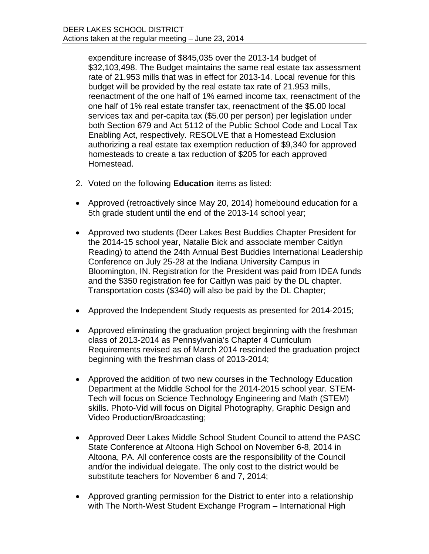expenditure increase of \$845,035 over the 2013-14 budget of \$32,103,498. The Budget maintains the same real estate tax assessment rate of 21.953 mills that was in effect for 2013-14. Local revenue for this budget will be provided by the real estate tax rate of 21.953 mills, reenactment of the one half of 1% earned income tax, reenactment of the one half of 1% real estate transfer tax, reenactment of the \$5.00 local services tax and per-capita tax (\$5.00 per person) per legislation under both Section 679 and Act 5112 of the Public School Code and Local Tax Enabling Act, respectively. RESOLVE that a Homestead Exclusion authorizing a real estate tax exemption reduction of \$9,340 for approved homesteads to create a tax reduction of \$205 for each approved Homestead.

- 2. Voted on the following **Education** items as listed:
- Approved (retroactively since May 20, 2014) homebound education for a 5th grade student until the end of the 2013-14 school year;
- Approved two students (Deer Lakes Best Buddies Chapter President for the 2014-15 school year, Natalie Bick and associate member Caitlyn Reading) to attend the 24th Annual Best Buddies International Leadership Conference on July 25-28 at the Indiana University Campus in Bloomington, IN. Registration for the President was paid from IDEA funds and the \$350 registration fee for Caitlyn was paid by the DL chapter. Transportation costs (\$340) will also be paid by the DL Chapter;
- Approved the Independent Study requests as presented for 2014-2015;
- Approved eliminating the graduation project beginning with the freshman class of 2013-2014 as Pennsylvania's Chapter 4 Curriculum Requirements revised as of March 2014 rescinded the graduation project beginning with the freshman class of 2013-2014;
- Approved the addition of two new courses in the Technology Education Department at the Middle School for the 2014-2015 school year. STEM-Tech will focus on Science Technology Engineering and Math (STEM) skills. Photo-Vid will focus on Digital Photography, Graphic Design and Video Production/Broadcasting;
- Approved Deer Lakes Middle School Student Council to attend the PASC State Conference at Altoona High School on November 6-8, 2014 in Altoona, PA. All conference costs are the responsibility of the Council and/or the individual delegate. The only cost to the district would be substitute teachers for November 6 and 7, 2014;
- Approved granting permission for the District to enter into a relationship with The North-West Student Exchange Program – International High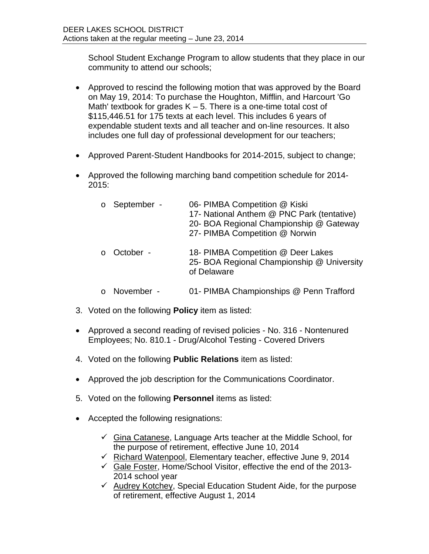School Student Exchange Program to allow students that they place in our community to attend our schools;

- Approved to rescind the following motion that was approved by the Board on May 19, 2014: To purchase the Houghton, Mifflin, and Harcourt 'Go Math' textbook for grades  $K - 5$ . There is a one-time total cost of \$115,446.51 for 175 texts at each level. This includes 6 years of expendable student texts and all teacher and on-line resources. It also includes one full day of professional development for our teachers;
- Approved Parent-Student Handbooks for 2014-2015, subject to change;
- Approved the following marching band competition schedule for 2014- 2015:

| September -<br>$\circ$ | 06- PIMBA Competition @ Kiski<br>17- National Anthem @ PNC Park (tentative)<br>20- BOA Regional Championship @ Gateway<br>27- PIMBA Competition @ Norwin |
|------------------------|----------------------------------------------------------------------------------------------------------------------------------------------------------|
| October -              | 18- PIMBA Competition @ Deer Lakes<br>25- BOA Regional Championship @ University<br>of Delaware                                                          |
| November -             | 01- PIMBA Championships @ Penn Trafford                                                                                                                  |

- 3. Voted on the following **Policy** item as listed:
- Approved a second reading of revised policies No. 316 Nontenured Employees; No. 810.1 - Drug/Alcohol Testing - Covered Drivers
- 4. Voted on the following **Public Relations** item as listed:
- Approved the job description for the Communications Coordinator.
- 5. Voted on the following **Personnel** items as listed:
- Accepted the following resignations:
	- $\checkmark$  Gina Catanese, Language Arts teacher at the Middle School, for the purpose of retirement, effective June 10, 2014
	- $\checkmark$  Richard Watenpool, Elementary teacher, effective June 9, 2014
	- $\checkmark$  Gale Foster, Home/School Visitor, effective the end of the 2013-2014 school year
	- $\checkmark$  Audrey Kotchey, Special Education Student Aide, for the purpose of retirement, effective August 1, 2014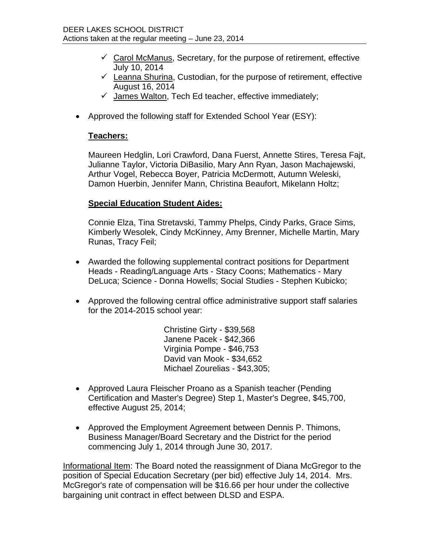- $\checkmark$  Carol McManus, Secretary, for the purpose of retirement, effective July 10, 2014
- $\checkmark$  Leanna Shurina, Custodian, for the purpose of retirement, effective August 16, 2014
- $\checkmark$  James Walton, Tech Ed teacher, effective immediately;
- Approved the following staff for Extended School Year (ESY):

## **Teachers:**

Maureen Hedglin, Lori Crawford, Dana Fuerst, Annette Stires, Teresa Fajt, Julianne Taylor, Victoria DiBasilio, Mary Ann Ryan, Jason Machajewski, Arthur Vogel, Rebecca Boyer, Patricia McDermott, Autumn Weleski, Damon Huerbin, Jennifer Mann, Christina Beaufort, Mikelann Holtz;

## **Special Education Student Aides:**

Connie Elza, Tina Stretavski, Tammy Phelps, Cindy Parks, Grace Sims, Kimberly Wesolek, Cindy McKinney, Amy Brenner, Michelle Martin, Mary Runas, Tracy Feil;

- Awarded the following supplemental contract positions for Department Heads - Reading/Language Arts - Stacy Coons; Mathematics - Mary DeLuca; Science - Donna Howells; Social Studies - Stephen Kubicko;
- Approved the following central office administrative support staff salaries for the 2014-2015 school year:

Christine Girty - \$39,568 Janene Pacek - \$42,366 Virginia Pompe - \$46,753 David van Mook - \$34,652 Michael Zourelias - \$43,305;

- Approved Laura Fleischer Proano as a Spanish teacher (Pending Certification and Master's Degree) Step 1, Master's Degree, \$45,700, effective August 25, 2014;
- Approved the Employment Agreement between Dennis P. Thimons, Business Manager/Board Secretary and the District for the period commencing July 1, 2014 through June 30, 2017.

Informational Item: The Board noted the reassignment of Diana McGregor to the position of Special Education Secretary (per bid) effective July 14, 2014. Mrs. McGregor's rate of compensation will be \$16.66 per hour under the collective bargaining unit contract in effect between DLSD and ESPA.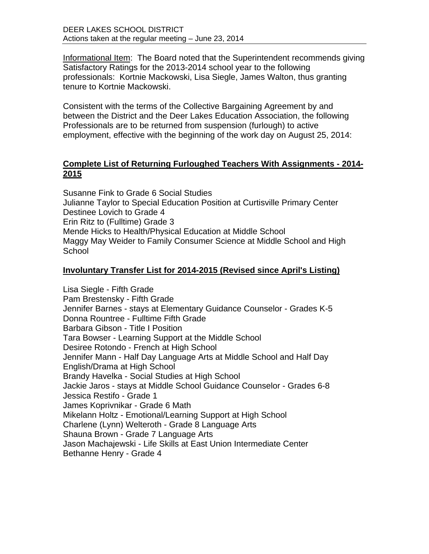Informational Item: The Board noted that the Superintendent recommends giving Satisfactory Ratings for the 2013-2014 school year to the following professionals: Kortnie Mackowski, Lisa Siegle, James Walton, thus granting tenure to Kortnie Mackowski.

Consistent with the terms of the Collective Bargaining Agreement by and between the District and the Deer Lakes Education Association, the following Professionals are to be returned from suspension (furlough) to active employment, effective with the beginning of the work day on August 25, 2014:

# **Complete List of Returning Furloughed Teachers With Assignments - 2014- 2015**

Susanne Fink to Grade 6 Social Studies Julianne Taylor to Special Education Position at Curtisville Primary Center Destinee Lovich to Grade 4 Erin Ritz to (Fulltime) Grade 3 Mende Hicks to Health/Physical Education at Middle School Maggy May Weider to Family Consumer Science at Middle School and High **School** 

# **Involuntary Transfer List for 2014-2015 (Revised since April's Listing)**

Lisa Siegle - Fifth Grade Pam Brestensky - Fifth Grade Jennifer Barnes - stays at Elementary Guidance Counselor - Grades K-5 Donna Rountree - Fulltime Fifth Grade Barbara Gibson - Title I Position Tara Bowser - Learning Support at the Middle School Desiree Rotondo - French at High School Jennifer Mann - Half Day Language Arts at Middle School and Half Day English/Drama at High School Brandy Havelka - Social Studies at High School Jackie Jaros - stays at Middle School Guidance Counselor - Grades 6-8 Jessica Restifo - Grade 1 James Koprivnikar - Grade 6 Math Mikelann Holtz - Emotional/Learning Support at High School Charlene (Lynn) Welteroth - Grade 8 Language Arts Shauna Brown - Grade 7 Language Arts Jason Machajewski - Life Skills at East Union Intermediate Center Bethanne Henry - Grade 4